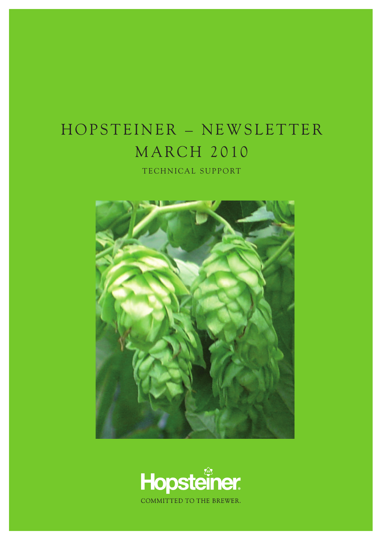## HOPSTEINER - NEWSLETTER **MARCH 2010**

TECHNICAL SUPPORT